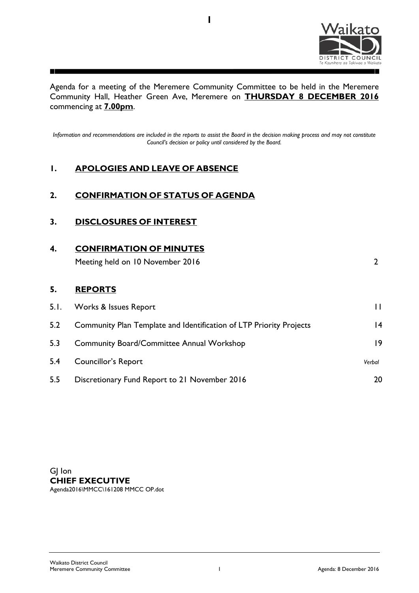

Agenda for a meeting of the Meremere Community Committee to be held in the Meremere Community Hall, Heather Green Ave, Meremere on **THURSDAY 8 DECEMBER 2016** commencing at **7.00pm**.

**1**

*Information and recommendations are included in the reports to assist the Board in the decision making process and may not constitute Council's decision or policy until considered by the Board.*

#### **1. APOLOGIES AND LEAVE OF ABSENCE**

#### **2. CONFIRMATION OF STATUS OF AGENDA**

| 3. | <b>DISCLOSURES OF INTEREST</b> |
|----|--------------------------------|
|    |                                |

| 4.   | <b>CONFIRMATION OF MINUTES</b>                                      |              |  |  |
|------|---------------------------------------------------------------------|--------------|--|--|
|      | Meeting held on 10 November 2016                                    |              |  |  |
|      |                                                                     |              |  |  |
| 5.   | <b>REPORTS</b>                                                      |              |  |  |
| 5.1. | Works & Issues Report                                               | $\mathbf{H}$ |  |  |
| 5.2  | Community Plan Template and Identification of LTP Priority Projects | 4            |  |  |
| 5.3  | <b>Community Board/Committee Annual Workshop</b>                    | 9            |  |  |
| 5.4  | Councillor's Report                                                 | Verbal       |  |  |
| 5.5  | Discretionary Fund Report to 21 November 2016                       | 20           |  |  |

GJ Ion **CHIEF EXECUTIVE**  Agenda2016\MMCC\161208 MMCC OP.dot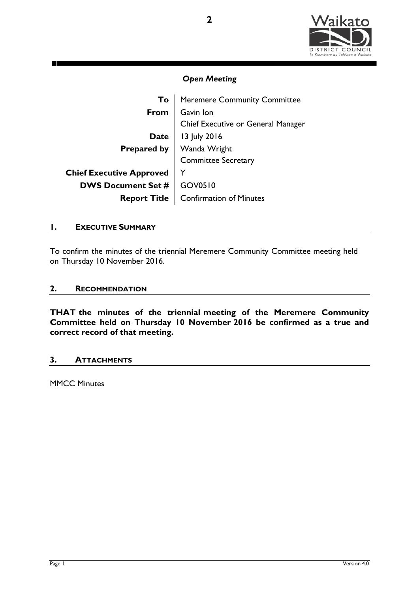

|                                 | To   Meremere Community Committee                      |
|---------------------------------|--------------------------------------------------------|
| From                            | Gavin Ion                                              |
|                                 | Chief Executive or General Manager                     |
| <b>Date</b>                     | 13 July 2016                                           |
|                                 |                                                        |
|                                 | <b>Prepared by</b> Wanda Wright<br>Committee Secretary |
| <b>Chief Executive Approved</b> |                                                        |
| <b>DWS Document Set #</b>       | GOV0510                                                |
| <b>Report Title</b>             | <b>Confirmation of Minutes</b>                         |

#### **1. EXECUTIVE SUMMARY**

To confirm the minutes of the triennial Meremere Community Committee meeting held on Thursday 10 November 2016.

#### **2. RECOMMENDATION**

**THAT the minutes of the triennial meeting of the Meremere Community Committee held on Thursday 10 November 2016 be confirmed as a true and correct record of that meeting.** 

#### **3. ATTACHMENTS**

MMCC Minutes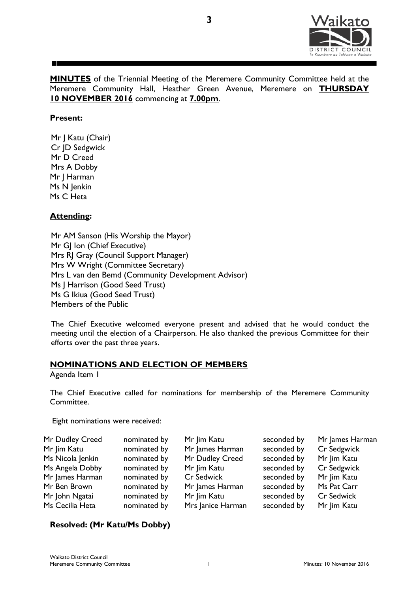

**MINUTES** of the Triennial Meeting of the Meremere Community Committee held at the Meremere Community Hall, Heather Green Avenue, Meremere on **THURSDAY 10 NOVEMBER 2016** commencing at **7.00pm**.

**3**

#### **Present:**

Mr | Katu (Chair) Cr JD Sedgwick Mr D Creed Mrs A Dobby Mr J Harman Ms N Jenkin Ms C Heta

#### **Attending:**

Mr AM Sanson (His Worship the Mayor) Mr GJ Ion (Chief Executive) Mrs RJ Gray (Council Support Manager) Mrs W Wright (Committee Secretary) Mrs L van den Bemd (Community Development Advisor) Ms J Harrison (Good Seed Trust) Ms G Ikiua (Good Seed Trust) Members of the Public

The Chief Executive welcomed everyone present and advised that he would conduct the meeting until the election of a Chairperson. He also thanked the previous Committee for their efforts over the past three years.

#### **NOMINATIONS AND ELECTION OF MEMBERS**

Agenda Item 1

The Chief Executive called for nominations for membership of the Meremere Community Committee.

Eight nominations were received:

| Mr Dudley Creed  | nominated by | Mr Jim Katu       | seconded by | Mr James Harman |
|------------------|--------------|-------------------|-------------|-----------------|
| Mr Jim Katu      | nominated by | Mr James Harman   | seconded by | Cr Sedgwick     |
| Ms Nicola Jenkin | nominated by | Mr Dudley Creed   | seconded by | Mr Jim Katu     |
| Ms Angela Dobby  | nominated by | Mr Jim Katu       | seconded by | Cr Sedgwick     |
| Mr James Harman  | nominated by | Cr Sedwick        | seconded by | Mr Jim Katu     |
| Mr Ben Brown     | nominated by | Mr James Harman   | seconded by | Ms Pat Carr     |
| Mr John Ngatai   | nominated by | Mr Jim Katu       | seconded by | Cr Sedwick      |
| Ms Cecilia Heta  | nominated by | Mrs Janice Harman | seconded by | Mr Jim Katu     |

#### **Resolved: (Mr Katu/Ms Dobby)**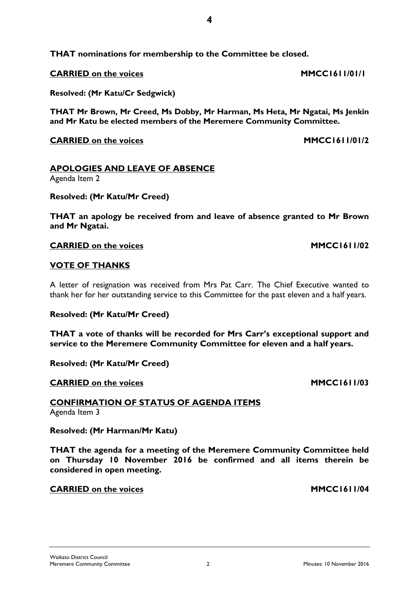**THAT nominations for membership to the Committee be closed.**

**CARRIED** on the voices **MMCC1611/01/1** 

**Resolved: (Mr Katu/Cr Sedgwick)** 

**THAT Mr Brown, Mr Creed, Ms Dobby, Mr Harman, Ms Heta, Mr Ngatai, Ms Jenkin and Mr Katu be elected members of the Meremere Community Committee.**

**CARRIED** on the voices **MMCC1611/01/2** 

**APOLOGIES AND LEAVE OF ABSENCE** Agenda Item 2

**Resolved: (Mr Katu/Mr Creed)** 

**THAT an apology be received from and leave of absence granted to Mr Brown and Mr Ngatai.** 

**CARRIED** on the voices **MMCC1611/02** 

**VOTE OF THANKS**

A letter of resignation was received from Mrs Pat Carr. The Chief Executive wanted to thank her for her outstanding service to this Committee for the past eleven and a half years.

**Resolved: (Mr Katu/Mr Creed)**

**THAT a vote of thanks will be recorded for Mrs Carr's exceptional support and service to the Meremere Community Committee for eleven and a half years.**

**Resolved: (Mr Katu/Mr Creed)** 

#### **CARRIED** on the voices **MMCC1611/03**

**CONFIRMATION OF STATUS OF AGENDA ITEMS** Agenda Item 3

**Resolved: (Mr Harman/Mr Katu)**

**THAT the agenda for a meeting of the Meremere Community Committee held on Thursday 10 November 2016 be confirmed and all items therein be considered in open meeting.**

#### **CARRIED** on the voices **MMCC1611/04**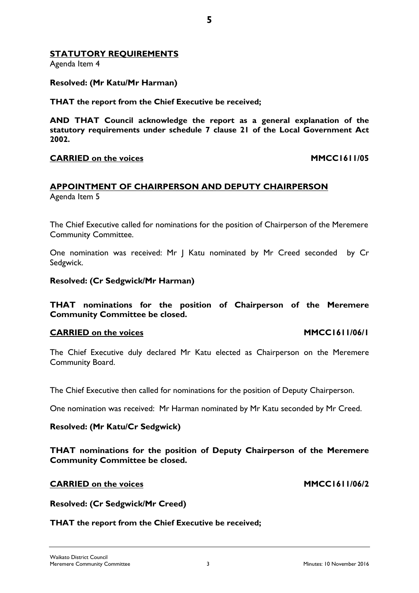#### **STATUTORY REQUIREMENTS**

Agenda Item 4

#### **Resolved: (Mr Katu/Mr Harman)**

**THAT the report from the Chief Executive be received;** 

**AND THAT Council acknowledge the report as a general explanation of the statutory requirements under schedule 7 clause 21 of the Local Government Act 2002.** 

#### **CARRIED** on the voices **MMCC1611/05**

#### **APPOINTMENT OF CHAIRPERSON AND DEPUTY CHAIRPERSON** Agenda Item 5

The Chief Executive called for nominations for the position of Chairperson of the Meremere Community Committee.

One nomination was received: Mr J Katu nominated by Mr Creed seconded by Cr Sedgwick.

#### **Resolved: (Cr Sedgwick/Mr Harman)**

**THAT nominations for the position of Chairperson of the Meremere Community Committee be closed.**

#### **CARRIED on the voices MMCC1611/06/1**

The Chief Executive duly declared Mr Katu elected as Chairperson on the Meremere Community Board.

The Chief Executive then called for nominations for the position of Deputy Chairperson.

One nomination was received: Mr Harman nominated by Mr Katu seconded by Mr Creed.

#### **Resolved: (Mr Katu/Cr Sedgwick)**

**THAT nominations for the position of Deputy Chairperson of the Meremere Community Committee be closed.**

#### **CARRIED** on the voices **MMCC1611/06/2**

**Resolved: (Cr Sedgwick/Mr Creed)**

**THAT the report from the Chief Executive be received;**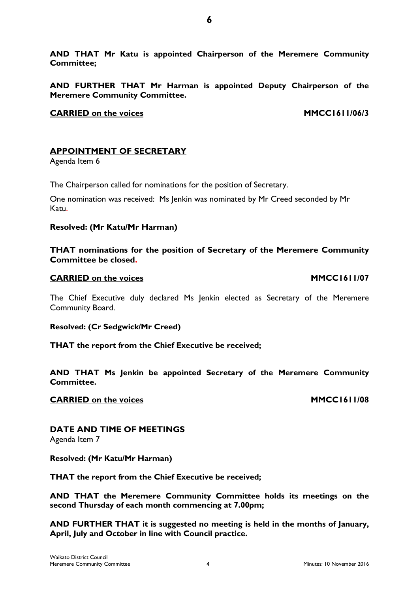**AND THAT Mr Katu is appointed Chairperson of the Meremere Community Committee;** 

**AND FURTHER THAT Mr Harman is appointed Deputy Chairperson of the Meremere Community Committee.** 

#### **CARRIED** on the voices **MMCC1611/06/3**

### **APPOINTMENT OF SECRETARY**

Agenda Item 6

The Chairperson called for nominations for the position of Secretary.

One nomination was received: Ms Jenkin was nominated by Mr Creed seconded by Mr Katu.

#### **Resolved: (Mr Katu/Mr Harman)**

#### **THAT nominations for the position of Secretary of the Meremere Community Committee be closed.**

#### **CARRIED** on the voices *MMCC1611/07*

The Chief Executive duly declared Ms Jenkin elected as Secretary of the Meremere Community Board.

**Resolved: (Cr Sedgwick/Mr Creed)**

**THAT the report from the Chief Executive be received;** 

**AND THAT Ms Jenkin be appointed Secretary of the Meremere Community Committee.** 

#### **CARRIED** on the voices **MMCC1611/08**

#### **DATE AND TIME OF MEETINGS**

Agenda Item 7

**Resolved: (Mr Katu/Mr Harman)** 

**THAT the report from the Chief Executive be received;**

**AND THAT the Meremere Community Committee holds its meetings on the second Thursday of each month commencing at 7.00pm;**

**AND FURTHER THAT it is suggested no meeting is held in the months of January, April, July and October in line with Council practice.**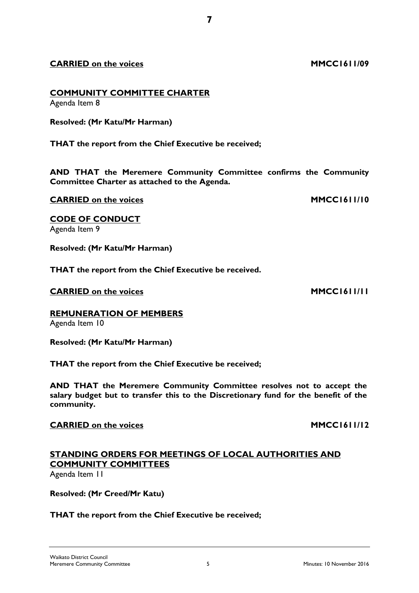#### **CARRIED** on the voices **MMCC1611/09**

**COMMUNITY COMMITTEE CHARTER**

Agenda Item 8

**Resolved: (Mr Katu/Mr Harman)** 

**THAT the report from the Chief Executive be received;** 

**AND THAT the Meremere Community Committee confirms the Community Committee Charter as attached to the Agenda.**

#### **CARRIED** on the voices **MMCC1611/10**

**CODE OF CONDUCT** Agenda Item 9

**Resolved: (Mr Katu/Mr Harman)** 

**THAT the report from the Chief Executive be received.** 

#### **CARRIED** on the voices **MMCC1611/11**

**REMUNERATION OF MEMBERS**

Agenda Item 10

**Resolved: (Mr Katu/Mr Harman)** 

**THAT the report from the Chief Executive be received;** 

**AND THAT the Meremere Community Committee resolves not to accept the salary budget but to transfer this to the Discretionary fund for the benefit of the community.** 

#### **CARRIED** on the voices **MMCC1611/12**

### **STANDING ORDERS FOR MEETINGS OF LOCAL AUTHORITIES AND COMMUNITY COMMITTEES**

Agenda Item 11

**Resolved: (Mr Creed/Mr Katu)** 

#### **THAT the report from the Chief Executive be received;**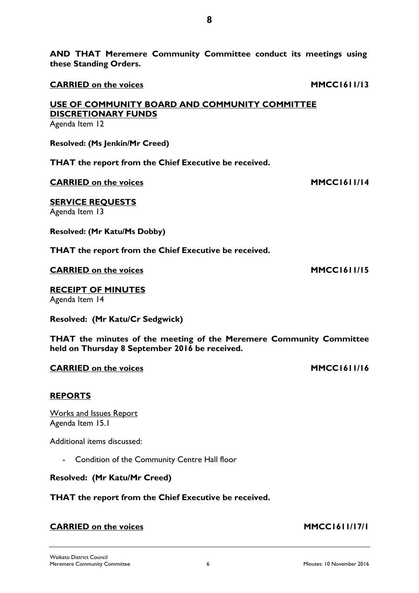**AND THAT Meremere Community Committee conduct its meetings using these Standing Orders.** 

**USE OF COMMUNITY BOARD AND COMMUNITY COMMITTEE DISCRETIONARY FUNDS**

Agenda Item 12

**Resolved: (Ms Jenkin/Mr Creed)**

**THAT the report from the Chief Executive be received.** 

**CARRIED** on the voices **MMCC1611/14** 

#### **SERVICE REQUESTS**

Agenda Item 13

**Resolved: (Mr Katu/Ms Dobby)** 

**THAT the report from the Chief Executive be received.** 

#### **CARRIED** on the voices **MMCC1611/15**

**RECEIPT OF MINUTES** Agenda Item 14

**Resolved: (Mr Katu/Cr Sedgwick)**

**THAT the minutes of the meeting of the Meremere Community Committee held on Thursday 8 September 2016 be received.**

#### **CARRIED** on the voices *MMCC1611/16*

#### **REPORTS**

Works and Issues Report Agenda Item 15.1

Additional items discussed:

- Condition of the Community Centre Hall floor

**Resolved: (Mr Katu/Mr Creed)**

**THAT the report from the Chief Executive be received.** 

#### **CARRIED** on the voices **MMCC1611/17/1**

**CARRIED** on the voices *MMCC1611/13*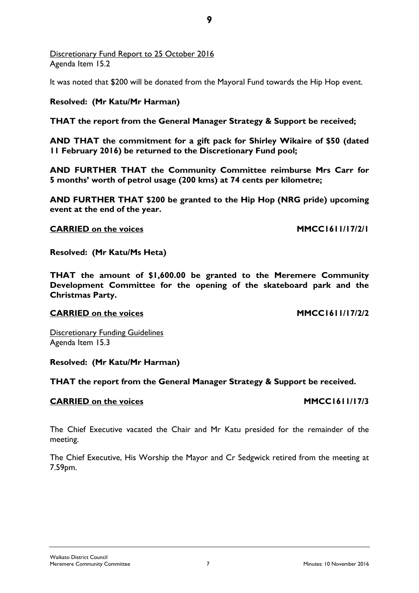Discretionary Fund Report to 25 October 2016 Agenda Item 15.2

It was noted that \$200 will be donated from the Mayoral Fund towards the Hip Hop event.

#### **Resolved: (Mr Katu/Mr Harman)**

**THAT the report from the General Manager Strategy & Support be received;** 

**AND THAT the commitment for a gift pack for Shirley Wikaire of \$50 (dated 11 February 2016) be returned to the Discretionary Fund pool;**

**AND FURTHER THAT the Community Committee reimburse Mrs Carr for 5 months' worth of petrol usage (200 kms) at 74 cents per kilometre;** 

**AND FURTHER THAT \$200 be granted to the Hip Hop (NRG pride) upcoming event at the end of the year.** 

#### **CARRIED** on the voices **MMCC1611/17/2/1**

**Resolved: (Mr Katu/Ms Heta)** 

**THAT the amount of \$1,600.00 be granted to the Meremere Community Development Committee for the opening of the skateboard park and the Christmas Party.** 

#### **CARRIED** on the voices **MMCC1611/17/2/2**

**Discretionary Funding Guidelines** Agenda Item 15.3

**Resolved: (Mr Katu/Mr Harman)**

**THAT the report from the General Manager Strategy & Support be received.**

#### **CARRIED** on the voices **MMCC1611/17/3**

The Chief Executive vacated the Chair and Mr Katu presided for the remainder of the meeting.

The Chief Executive, His Worship the Mayor and Cr Sedgwick retired from the meeting at 7.59pm.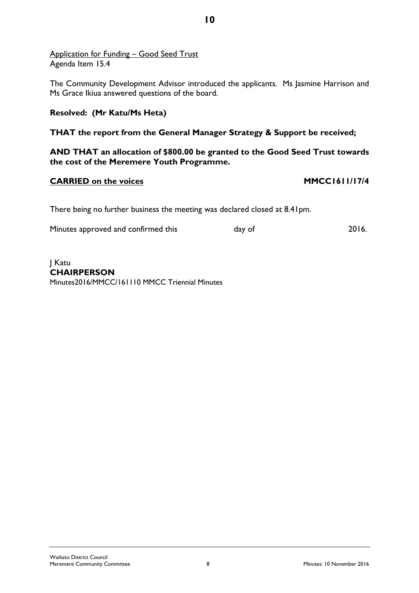Application for Funding – Good Seed Trust Agenda Item 15.4

The Community Development Advisor introduced the applicants. Ms Jasmine Harrison and Ms Grace Ikiua answered questions of the board.

**10**

#### **Resolved: (Mr Katu/Ms Heta)**

#### **THAT the report from the General Manager Strategy & Support be received;**

**AND THAT an allocation of \$800.00 be granted to the Good Seed Trust towards the cost of the Meremere Youth Programme.**

#### **CARRIED** on the voices **MMCC1611/17/4**

There being no further business the meeting was declared closed at 8.41pm.

Minutes approved and confirmed this day of day of 2016.

J Katu **CHAIRPERSON** Minutes2016/MMCC/161110 MMCC Triennial Minutes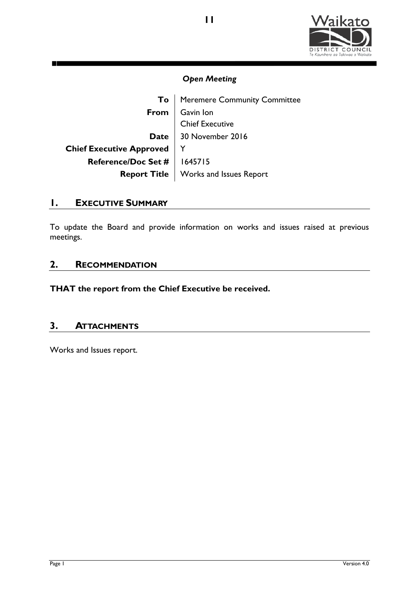

|                                 | To   Meremere Community Committee |
|---------------------------------|-----------------------------------|
| From                            | Gavin Ion                         |
|                                 | <b>Chief Executive</b>            |
|                                 | Date   30 November 2016           |
| <b>Chief Executive Approved</b> |                                   |
| <b>Reference/Doc Set #</b>      | 1645715                           |
| <b>Report Title</b>             | Works and Issues Report           |

#### **1. EXECUTIVE SUMMARY**

n١

To update the Board and provide information on works and issues raised at previous meetings.

#### **2. RECOMMENDATION**

**THAT the report from the Chief Executive be received.**

#### **3. ATTACHMENTS**

Works and Issues report.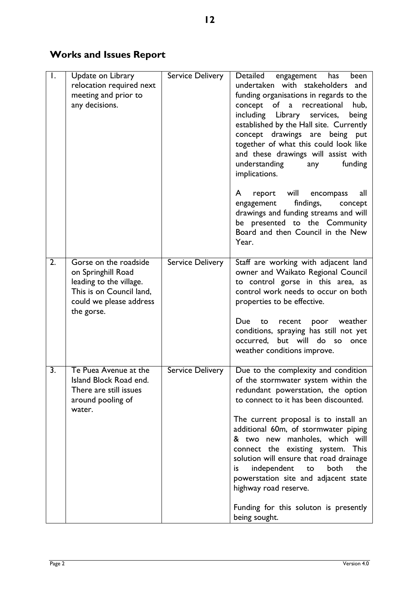## **Works and Issues Report**

| Ι. | Update on Library<br>relocation required next<br>meeting and prior to<br>any decisions.                                                     | Service Delivery        | Detailed<br>has<br>engagement<br>been<br>undertaken with stakeholders<br>and<br>funding organisations in regards to the<br>concept of a<br>recreational<br>hub,<br>including Library services,<br>being<br>established by the Hall site. Currently<br>concept drawings are being put<br>together of what this could look like<br>and these drawings will assist with<br>understanding<br>funding<br>any<br>implications.<br>report will<br>encompass<br>all<br>A<br>findings,<br>engagement<br>concept<br>drawings and funding streams and will<br>be presented to the Community<br>Board and then Council in the New<br>Year. |
|----|---------------------------------------------------------------------------------------------------------------------------------------------|-------------------------|--------------------------------------------------------------------------------------------------------------------------------------------------------------------------------------------------------------------------------------------------------------------------------------------------------------------------------------------------------------------------------------------------------------------------------------------------------------------------------------------------------------------------------------------------------------------------------------------------------------------------------|
| 2. | Gorse on the roadside<br>on Springhill Road<br>leading to the village.<br>This is on Council land,<br>could we please address<br>the gorse. | Service Delivery        | Staff are working with adjacent land<br>owner and Waikato Regional Council<br>to control gorse in this area, as<br>control work needs to occur on both<br>properties to be effective.<br>Due<br>to<br>recent<br>poor weather<br>conditions, spraying has still not yet<br>occurred,<br>but will<br>do<br>once<br><b>SO</b><br>weather conditions improve.                                                                                                                                                                                                                                                                      |
| 3. | Te Puea Avenue at the<br>Island Block Road end.<br>There are still issues<br>around pooling of<br>water.                                    | <b>Service Delivery</b> | Due to the complexity and condition<br>of the stormwater system within the<br>redundant powerstation, the option<br>to connect to it has been discounted.<br>The current proposal is to install an<br>additional 60m, of stormwater piping<br>& two new manholes, which will<br>connect the existing system. This<br>solution will ensure that road drainage<br>independent<br>both<br>the<br>to to<br>is<br>powerstation site and adjacent state<br>highway road reserve.<br>Funding for this soluton is presently<br>being sought.                                                                                           |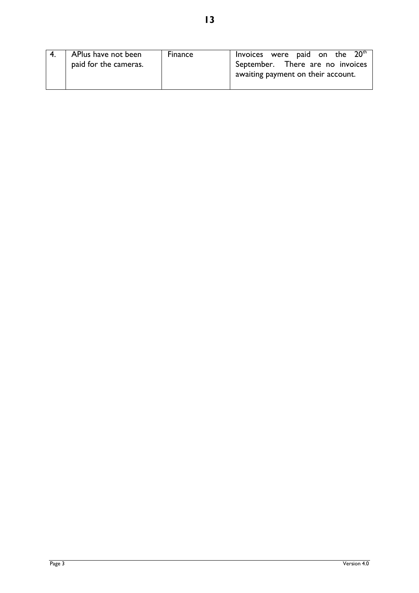| APlus have not been   | Finance | Invoices were paid on the $20th$                                       |
|-----------------------|---------|------------------------------------------------------------------------|
| paid for the cameras. |         | September. There are no invoices<br>awaiting payment on their account. |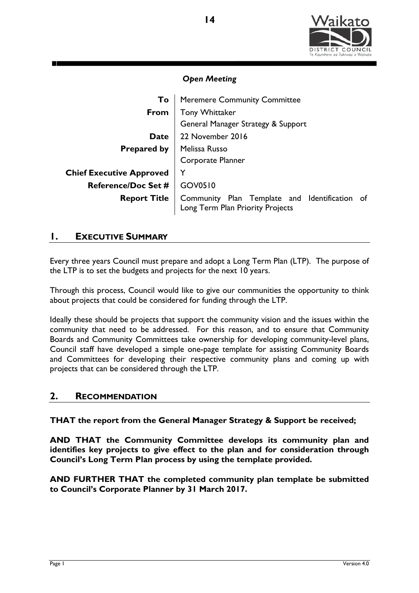

| To                              | <b>Meremere Community Committee</b>                                               |  |  |
|---------------------------------|-----------------------------------------------------------------------------------|--|--|
| From                            | Tony Whittaker                                                                    |  |  |
|                                 | General Manager Strategy & Support                                                |  |  |
| <b>Date</b>                     | 22 November 2016                                                                  |  |  |
|                                 | <b>Prepared by   Melissa Russo</b>                                                |  |  |
|                                 | Corporate Planner                                                                 |  |  |
| <b>Chief Executive Approved</b> |                                                                                   |  |  |
| <b>Reference/Doc Set #</b>      | GOV0510                                                                           |  |  |
| <b>Report Title</b>             | Community Plan Template and Identification of<br>Long Term Plan Priority Projects |  |  |

### **1. EXECUTIVE SUMMARY**

Every three years Council must prepare and adopt a Long Term Plan (LTP). The purpose of the LTP is to set the budgets and projects for the next 10 years.

Through this process, Council would like to give our communities the opportunity to think about projects that could be considered for funding through the LTP.

Ideally these should be projects that support the community vision and the issues within the community that need to be addressed. For this reason, and to ensure that Community Boards and Community Committees take ownership for developing community-level plans, Council staff have developed a simple one-page template for assisting Community Boards and Committees for developing their respective community plans and coming up with projects that can be considered through the LTP.

#### **2. RECOMMENDATION**

**THAT the report from the General Manager Strategy & Support be received;**

**AND THAT the Community Committee develops its community plan and identifies key projects to give effect to the plan and for consideration through Council's Long Term Plan process by using the template provided.** 

**AND FURTHER THAT the completed community plan template be submitted to Council's Corporate Planner by 31 March 2017.**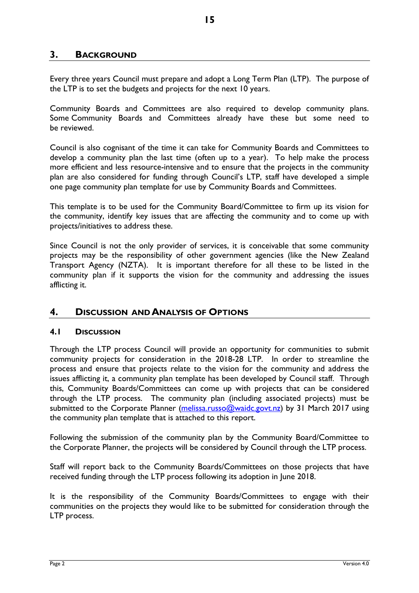#### **3. BACKGROUND**

Every three years Council must prepare and adopt a Long Term Plan (LTP). The purpose of the LTP is to set the budgets and projects for the next 10 years.

Community Boards and Committees are also required to develop community plans. Some Community Boards and Committees already have these but some need to be reviewed.

Council is also cognisant of the time it can take for Community Boards and Committees to develop a community plan the last time (often up to a year). To help make the process more efficient and less resource-intensive and to ensure that the projects in the community plan are also considered for funding through Council's LTP, staff have developed a simple one page community plan template for use by Community Boards and Committees.

This template is to be used for the Community Board/Committee to firm up its vision for the community, identify key issues that are affecting the community and to come up with projects/initiatives to address these.

Since Council is not the only provider of services, it is conceivable that some community projects may be the responsibility of other government agencies (like the New Zealand Transport Agency (NZTA). It is important therefore for all these to be listed in the community plan if it supports the vision for the community and addressing the issues afflicting it.

#### **4. DISCUSSION AND ANALYSIS OF OPTIONS**

#### **4.1 DISCUSSION**

Through the LTP process Council will provide an opportunity for communities to submit community projects for consideration in the 2018-28 LTP. In order to streamline the process and ensure that projects relate to the vision for the community and address the issues afflicting it, a community plan template has been developed by Council staff. Through this, Community Boards/Committees can come up with projects that can be considered through the LTP process. The community plan (including associated projects) must be submitted to the Corporate Planner [\(melissa.russo@waidc.govt.nz\)](mailto:melissa.russo@waidc.govt.nz) by 31 March 2017 using the community plan template that is attached to this report.

Following the submission of the community plan by the Community Board/Committee to the Corporate Planner, the projects will be considered by Council through the LTP process.

Staff will report back to the Community Boards/Committees on those projects that have received funding through the LTP process following its adoption in June 2018.

It is the responsibility of the Community Boards/Committees to engage with their communities on the projects they would like to be submitted for consideration through the LTP process.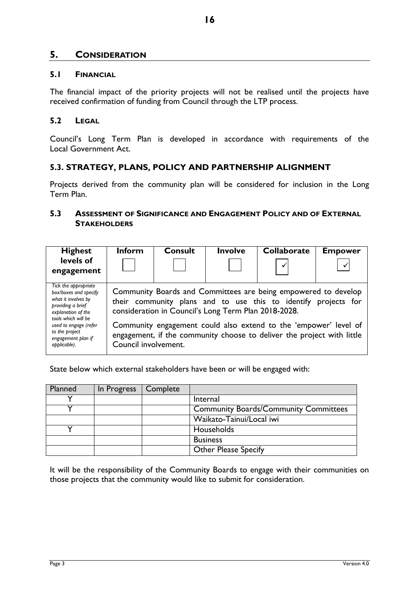#### **5. CONSIDERATION**

#### **5.1 FINANCIAL**

The financial impact of the priority projects will not be realised until the projects have received confirmation of funding from Council through the LTP process.

#### **5.2 LEGAL**

Council's Long Term Plan is developed in accordance with requirements of the Local Government Act.

#### **5.3. STRATEGY, PLANS, POLICY AND PARTNERSHIP ALIGNMENT**

Projects derived from the community plan will be considered for inclusion in the Long Term Plan.

#### **5.3 ASSESSMENT OF SIGNIFICANCE AND ENGAGEMENT POLICY AND OF EXTERNAL STAKEHOLDERS**

| <b>Highest</b>                                                                                                                                                                                                          | <b>Inform</b>        | <b>Consult</b> | <b>Involve</b>                                       | <b>Collaborate</b>                                                                                                                                                                                                                                                             | <b>Empower</b> |
|-------------------------------------------------------------------------------------------------------------------------------------------------------------------------------------------------------------------------|----------------------|----------------|------------------------------------------------------|--------------------------------------------------------------------------------------------------------------------------------------------------------------------------------------------------------------------------------------------------------------------------------|----------------|
| levels of                                                                                                                                                                                                               |                      |                |                                                      | ✓                                                                                                                                                                                                                                                                              |                |
| engagement                                                                                                                                                                                                              |                      |                |                                                      |                                                                                                                                                                                                                                                                                |                |
| Tick the appropriate<br>box/boxes and specify<br>what it involves by<br>providing a brief<br>explanation of the<br>tools which will be<br>used to engage (refer<br>to the project<br>engagement plan if<br>applicable). | Council involvement. |                | consideration in Council's Long Term Plan 2018-2028. | Community Boards and Committees are being empowered to develop<br>their community plans and to use this to identify projects for<br>Community engagement could also extend to the 'empower' level of<br>engagement, if the community choose to deliver the project with little |                |

State below which external stakeholders have been or will be engaged with:

| Planned | In Progress | <b>Complete</b> |                                              |
|---------|-------------|-----------------|----------------------------------------------|
|         |             |                 | Internal                                     |
|         |             |                 | <b>Community Boards/Community Committees</b> |
|         |             |                 | Waikato-Tainui/Local iwi                     |
|         |             |                 | Households                                   |
|         |             |                 | <b>Business</b>                              |
|         |             |                 | <b>Other Please Specify</b>                  |

It will be the responsibility of the Community Boards to engage with their communities on those projects that the community would like to submit for consideration.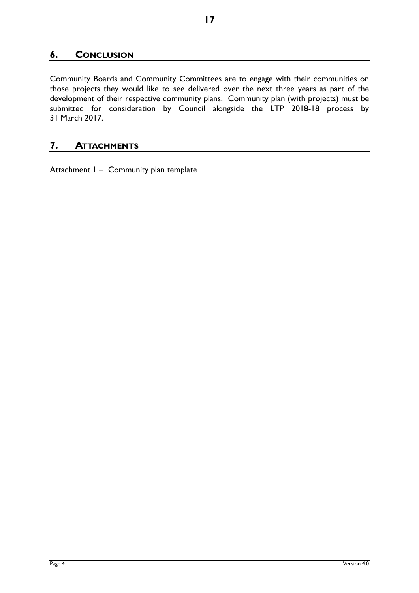### **6. CONCLUSION**

Community Boards and Community Committees are to engage with their communities on those projects they would like to see delivered over the next three years as part of the development of their respective community plans. Community plan (with projects) must be submitted for consideration by Council alongside the LTP 2018-18 process by 31 March 2017.

#### **7. ATTACHMENTS**

Attachment 1 – Community plan template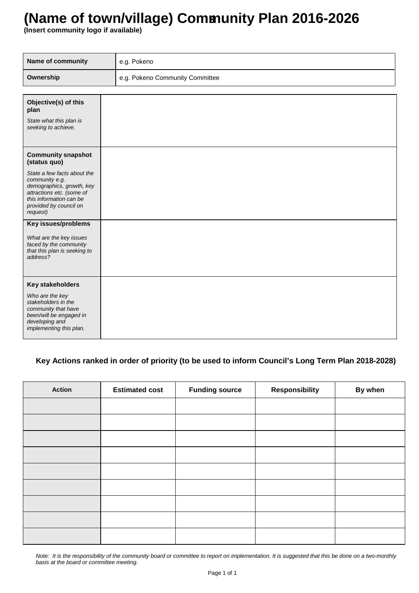# **(Name of town/village) Community Plan 2016-2026 18**

**(Insert community logo if available)**

| Name of community                                                                                                                                                        | e.g. Pokeno                     |
|--------------------------------------------------------------------------------------------------------------------------------------------------------------------------|---------------------------------|
| Ownership                                                                                                                                                                | e.g. Pokeno Community Committee |
|                                                                                                                                                                          |                                 |
| Objective(s) of this<br>plan                                                                                                                                             |                                 |
| State what this plan is<br>seeking to achieve.                                                                                                                           |                                 |
| <b>Community snapshot</b><br>(status quo)                                                                                                                                |                                 |
| State a few facts about the<br>community e.g.<br>demographics, growth, key<br>attractions etc. (some of<br>this information can be<br>provided by council on<br>request) |                                 |
| <b>Key issues/problems</b>                                                                                                                                               |                                 |
| What are the key issues<br>faced by the community<br>that this plan is seeking to<br>address?                                                                            |                                 |
| Key stakeholders<br>Who are the key<br>stakeholders in the<br>community that have<br>been/will be engaged in<br>developing and<br>implementing this plan.                |                                 |

#### **Key Actions ranked in order of priority (to be used to inform Council's Long Term Plan 2018-2028)**

| <b>Action</b> | <b>Estimated cost</b> | <b>Funding source</b> | <b>Responsibility</b> | By when |
|---------------|-----------------------|-----------------------|-----------------------|---------|
|               |                       |                       |                       |         |
|               |                       |                       |                       |         |
|               |                       |                       |                       |         |
|               |                       |                       |                       |         |
|               |                       |                       |                       |         |
|               |                       |                       |                       |         |
|               |                       |                       |                       |         |
|               |                       |                       |                       |         |
|               |                       |                       |                       |         |

*Note: It is the responsibility of the community board or committee to report on implementation. It is suggested that this be done on a two-monthly basis at the board or committee meeting.*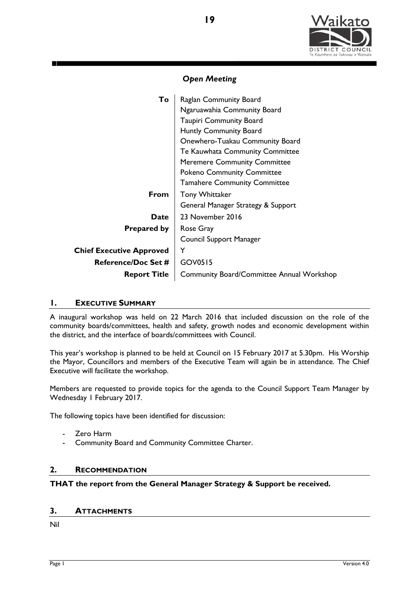

| Raglan Community Board                           |  |
|--------------------------------------------------|--|
| Ngaruawahia Community Board                      |  |
| <b>Taupiri Community Board</b>                   |  |
| Huntly Community Board                           |  |
| Onewhero-Tuakau Community Board                  |  |
| Te Kauwhata Community Committee                  |  |
| <b>Meremere Community Committee</b>              |  |
| <b>Pokeno Community Committee</b>                |  |
| <b>Tamahere Community Committee</b>              |  |
| <b>Tony Whittaker</b>                            |  |
| General Manager Strategy & Support               |  |
| 23 November 2016                                 |  |
| Rose Gray                                        |  |
| Council Support Manager                          |  |
| Y                                                |  |
| GOV0515                                          |  |
| <b>Community Board/Committee Annual Workshop</b> |  |
|                                                  |  |

#### **1. EXECUTIVE SUMMARY**

A inaugural workshop was held on 22 March 2016 that included discussion on the role of the community boards/committees, health and safety, growth nodes and economic development within the district, and the interface of boards/committees with Council.

This year's workshop is planned to be held at Council on 15 February 2017 at 5.30pm. His Worship the Mayor, Councillors and members of the Executive Team will again be in attendance. The Chief Executive will facilitate the workshop.

Members are requested to provide topics for the agenda to the Council Support Team Manager by Wednesday 1 February 2017.

The following topics have been identified for discussion:

- Zero Harm
- Community Board and Community Committee Charter.

#### **2. RECOMMENDATION**

#### **THAT the report from the General Manager Strategy & Support be received.**

#### **3. ATTACHMENTS**

Nil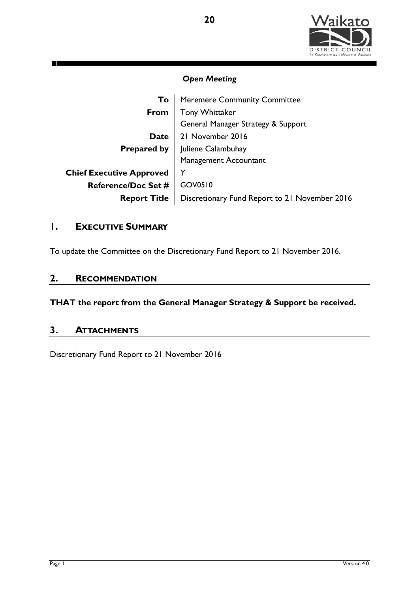

| To                              | <b>Meremere Community Committee</b>           |  |
|---------------------------------|-----------------------------------------------|--|
| From                            | <b>Tony Whittaker</b>                         |  |
|                                 | General Manager Strategy & Support            |  |
| <b>Date</b>                     | 21 November 2016                              |  |
|                                 | <b>Prepared by   Juliene Calambuhay</b>       |  |
|                                 | Management Accountant                         |  |
| <b>Chief Executive Approved</b> |                                               |  |
| <b>Reference/Doc Set #</b>      | GOV0510                                       |  |
| <b>Report Title</b>             | Discretionary Fund Report to 21 November 2016 |  |

#### **1. EXECUTIVE SUMMARY**

To update the Committee on the Discretionary Fund Report to 21 November 2016.

#### **2. RECOMMENDATION**

**THAT the report from the General Manager Strategy & Support be received.**

#### **3. ATTACHMENTS**

Discretionary Fund Report to 21 November 2016